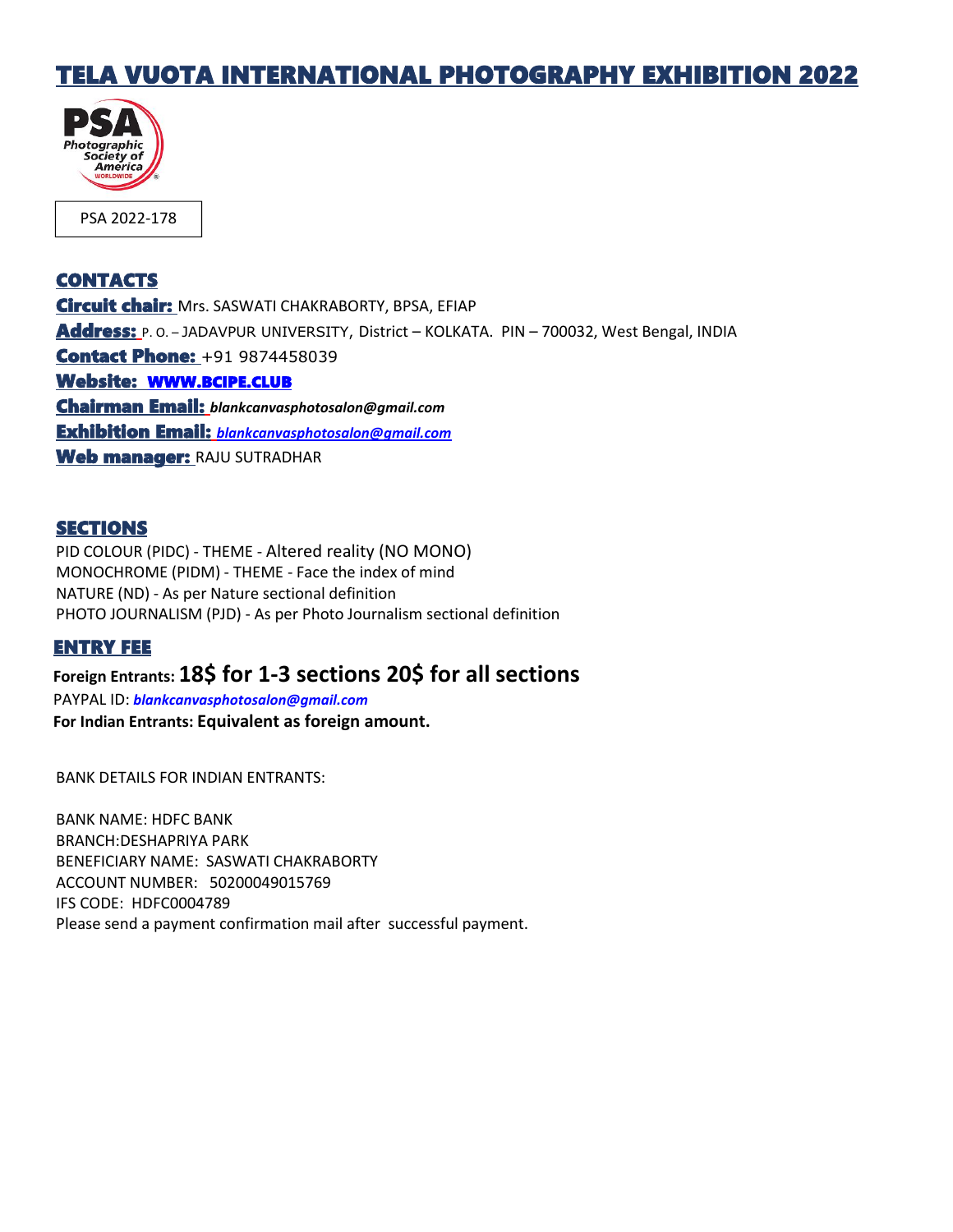## TELA VUOTA INTERNATIONAL PHOTOGRAPHY EXHIBITION 2022



## **CONTACTS**

Circuit chair: Mrs. SASWATI CHAKRABORTY, BPSA, EFIAP Address: P. O. - JADAVPUR UNIVERSITY, District - KOLKATA. PIN - 700032, West Bengal, INDIA **Contact Phone: +91 9874458039** Website: [WWW.BCIPE.CLUB](http://www.bcipe.club) Chairman Email: *blankcanvasphotosalon@gmail.com* Exhibition Email: *[blankcanvasphotosalon@gmail.com](mailto:blankcanvasphotosalon@gmail.com)* Web manager: RAJU SUTRADHAR

## SECTIONS

PID COLOUR (PIDC) - THEME - Altered reality (NO MONO) MONOCHROME (PIDM) - THEME - Face the index of mind NATURE (ND) - As per Nature sectional definition PHOTO JOURNALISM (PJD) - As per Photo Journalism sectional definition

### ENTRY FEE

## **Foreign Entrants: 18\$ for 1-3 sections 20\$ for all sections**

PAYPAL ID: *[blankcanvasphotosalon@gmail.com](mailto:blankcanvasphotosalon@gmail.com)* **For Indian Entrants: Equivalent as foreign amount.**

BANK DETAILS FOR INDIAN ENTRANTS:

BANK NAME: HDFC BANK BRANCH:DESHAPRIYA PARK BENEFICIARY NAME: SASWATI CHAKRABORTY ACCOUNT NUMBER:50200049015769 IFS CODE: HDFC0004789 Please send a payment confirmation mail after successful payment.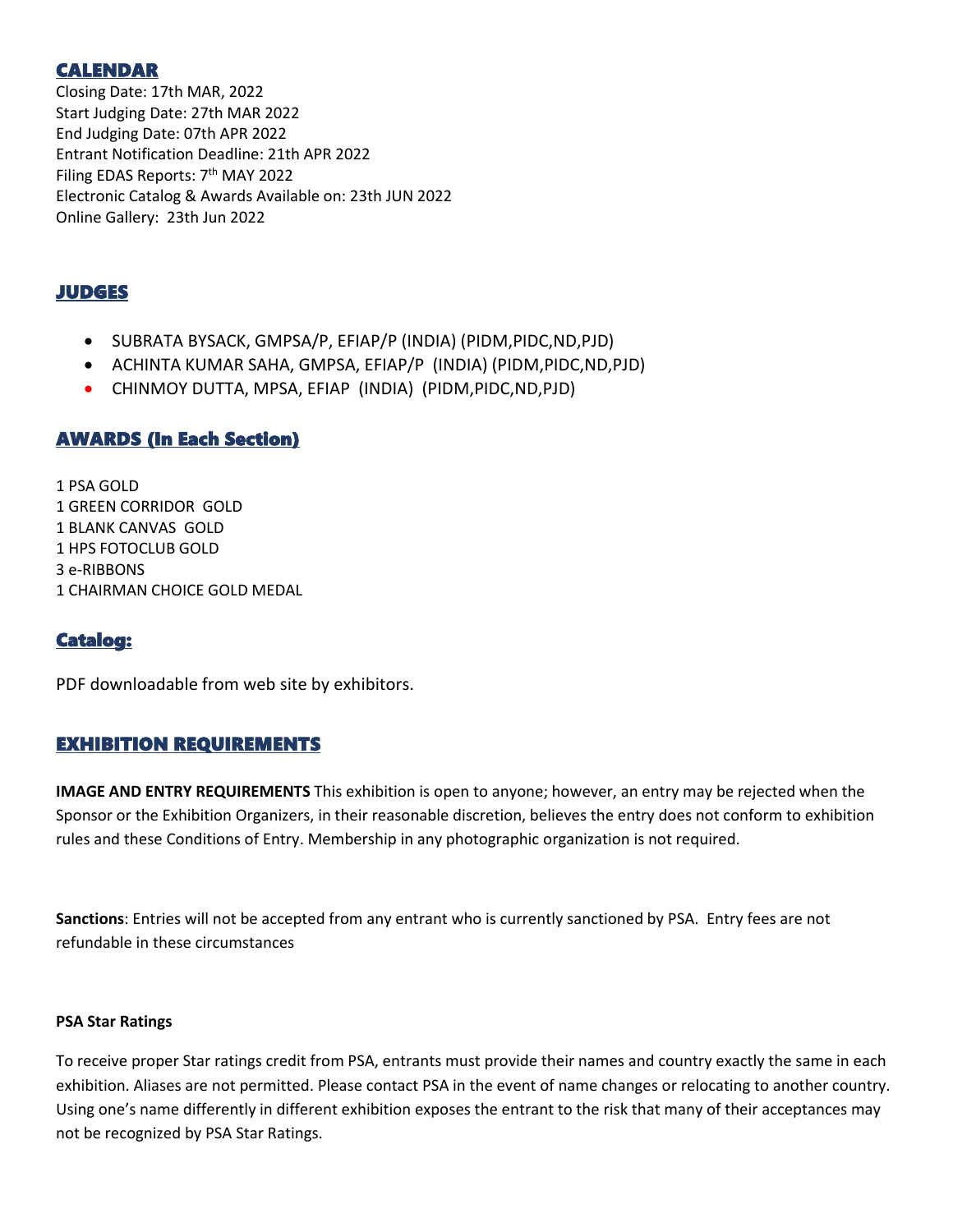## CALENDAR

Closing Date: 17th MAR, 2022 Start Judging Date: 27th MAR 2022 End Judging Date: 07th APR 2022 Entrant Notification Deadline: 21th APR 2022 Filing EDAS Reports: 7<sup>th</sup> MAY 2022 Electronic Catalog & Awards Available on: 23th JUN 2022 Online Gallery: 23th Jun 2022

## JUDGES

- SUBRATA BYSACK, GMPSA/P, EFIAP/P (INDIA) (PIDM,PIDC,ND,PJD)
- ACHINTA KUMAR SAHA, GMPSA, EFIAP/P (INDIA) (PIDM,PIDC,ND,PJD)
- CHINMOY DUTTA, MPSA, EFIAP (INDIA) (PIDM,PIDC,ND,PJD)

## AWARDS (In Each Section)

1 PSA GOLD GREEN CORRIDOR GOLD BLANK CANVAS GOLD HPS FOTOCLUB GOLD e-RIBBONS CHAIRMAN CHOICE GOLD MEDAL

## Catalog:

PDF downloadable from web site by exhibitors.

## EXHIBITION REQUIREMENTS

**IMAGE AND ENTRY REQUIREMENTS** This exhibition is open to anyone; however, an entry may be rejected when the Sponsor or the Exhibition Organizers, in their reasonable discretion, believes the entry does not conform to exhibition rules and these Conditions of Entry. Membership in any photographic organization is not required.

**Sanctions**: Entries will not be accepted from any entrant who is currently sanctioned by PSA. Entry fees are not refundable in these circumstances

### **PSA Star Ratings**

To receive proper Star ratings credit from PSA, entrants must provide their names and country exactly the same in each exhibition. Aliases are not permitted. Please contact PSA in the event of name changes or relocating to another country. Using one's name differently in different exhibition exposes the entrant to the risk that many of their acceptances may not be recognized by PSA Star Ratings.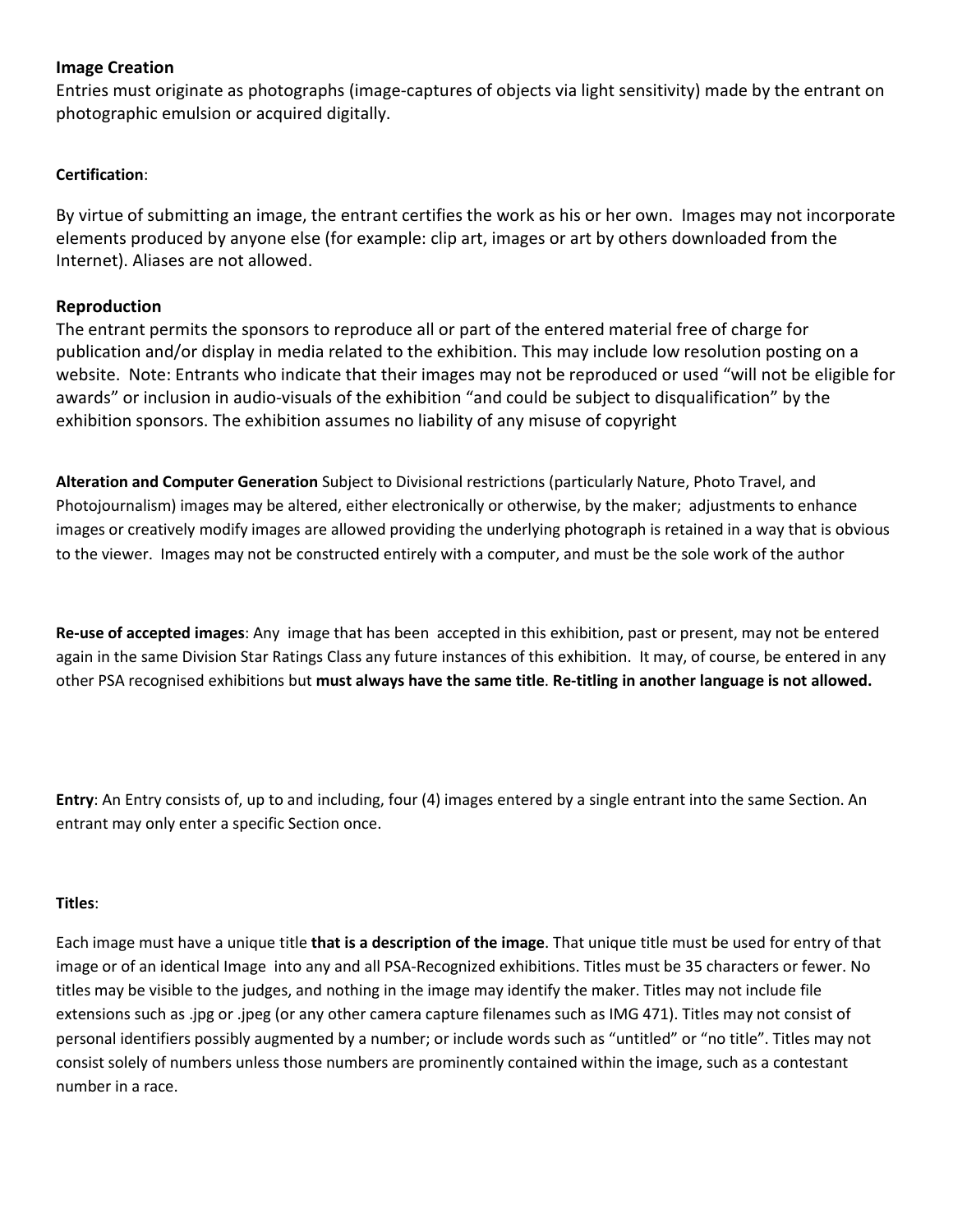## **Image Creation**

Entries must originate as photographs (image-captures of objects via light sensitivity) made by the entrant on photographic emulsion or acquired digitally.

## **Certification**:

By virtue of submitting an image, the entrant certifies the work as his or her own. Images may not incorporate elements produced by anyone else (for example: clip art, images or art by others downloaded from the Internet). Aliases are not allowed.

## **Reproduction**

The entrant permits the sponsors to reproduce all or part of the entered material free of charge for publication and/or display in media related to the exhibition. This may include low resolution posting on a website. Note: Entrants who indicate that their images may not be reproduced or used "will not be eligible for awards" or inclusion in audio-visuals of the exhibition "and could be subject to disqualification" by the exhibition sponsors. The exhibition assumes no liability of any misuse of copyright

**Alteration and Computer Generation** Subject to Divisional restrictions (particularly Nature, Photo Travel, and Photojournalism) images may be altered, either electronically or otherwise, by the maker; adjustments to enhance images or creatively modify images are allowed providing the underlying photograph is retained in a way that is obvious to the viewer. Images may not be constructed entirely with a computer, and must be the sole work of the author

**Re-use of accepted images**: Any image that has been accepted in this exhibition, past or present, may not be entered again in the same Division Star Ratings Class any future instances of this exhibition. It may, of course, be entered in any other PSA recognised exhibitions but **must always have the same title**. **Re-titling in another language is not allowed.**

**Entry**: An Entry consists of, up to and including, four (4) images entered by a single entrant into the same Section. An entrant may only enter a specific Section once.

#### **Titles**:

Each image must have a unique title **that is a description of the image**. That unique title must be used for entry of that image or of an identical Image into any and all PSA-Recognized exhibitions. Titles must be 35 characters or fewer. No titles may be visible to the judges, and nothing in the image may identify the maker. Titles may not include file extensions such as .jpg or .jpeg (or any other camera capture filenames such as IMG 471). Titles may not consist of personal identifiers possibly augmented by a number; or include words such as "untitled" or "no title". Titles may not consist solely of numbers unless those numbers are prominently contained within the image, such as a contestant number in a race.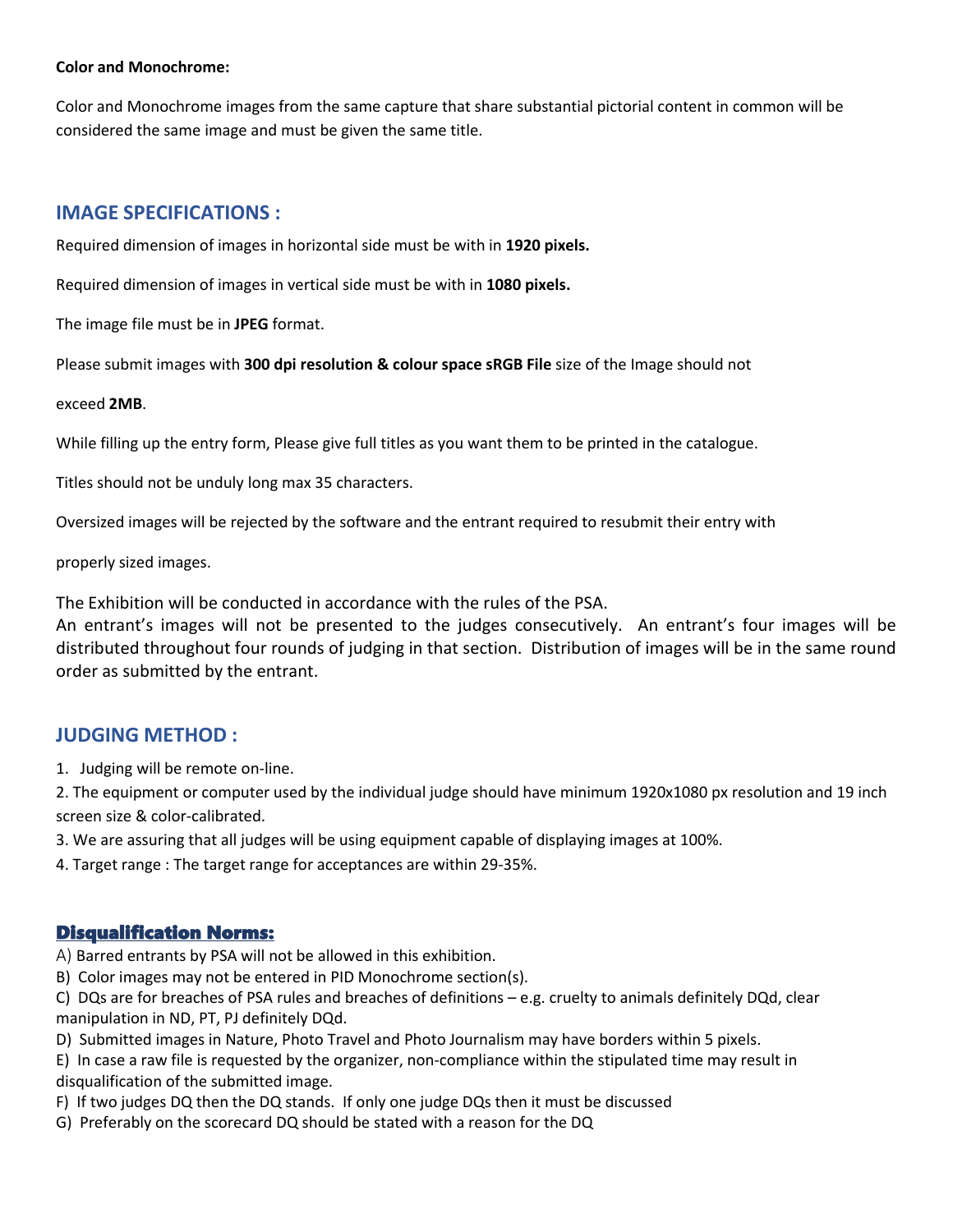#### **Color and Monochrome:**

Color and Monochrome images from the same capture that share substantial pictorial content in common will be considered the same image and must be given the same title.

## **IMAGE SPECIFICATIONS :**

Required dimension of images in horizontal side must be with in **1920 pixels.**

Required dimension of images in vertical side must be with in **1080 pixels.**

The image file must be in **JPEG** format.

Please submit images with **300 dpi resolution & colour space sRGB File** size of the Image should not

### exceed **2MB**.

While filling up the entry form, Please give full titles as you want them to be printed in the catalogue.

Titles should not be unduly long max 35 characters.

Oversized images will be rejected by the software and the entrant required to resubmit their entry with

properly sized images.

The Exhibition will be conducted in accordance with the rules of the PSA.

An entrant's images will not be presented to the judges consecutively. An entrant's four images will be distributed throughout four rounds of judging in that section. Distribution of images will be in the same round order as submitted by the entrant.

## **JUDGING METHOD :**

1. Judging will be remote on-line.

2. The equipment or computer used by the individual judge should have minimum 1920x1080 px resolution and 19 inch screen size & color-calibrated.

- 3. We are assuring that all judges will be using equipment capable of displaying images at 100%.
- 4. Target range : The target range for acceptances are within 29-35%.

## Disqualification Norms:

A) Barred entrants by PSA will not be allowed in this exhibition.

B) Color images may not be entered in PID Monochrome section(s).

C) DQs are for breaches of PSA rules and breaches of definitions – e.g. cruelty to animals definitely DQd, clear manipulation in ND, PT, PJ definitely DQd.

D) Submitted images in Nature, Photo Travel and Photo Journalism may have borders within 5 pixels.

E) In case a raw file is requested by the organizer, non-compliance within the stipulated time may result in disqualification of the submitted image.

- F) If two judges DQ then the DQ stands. If only one judge DQs then it must be discussed
- G) Preferably on the scorecard DQ should be stated with a reason for the DQ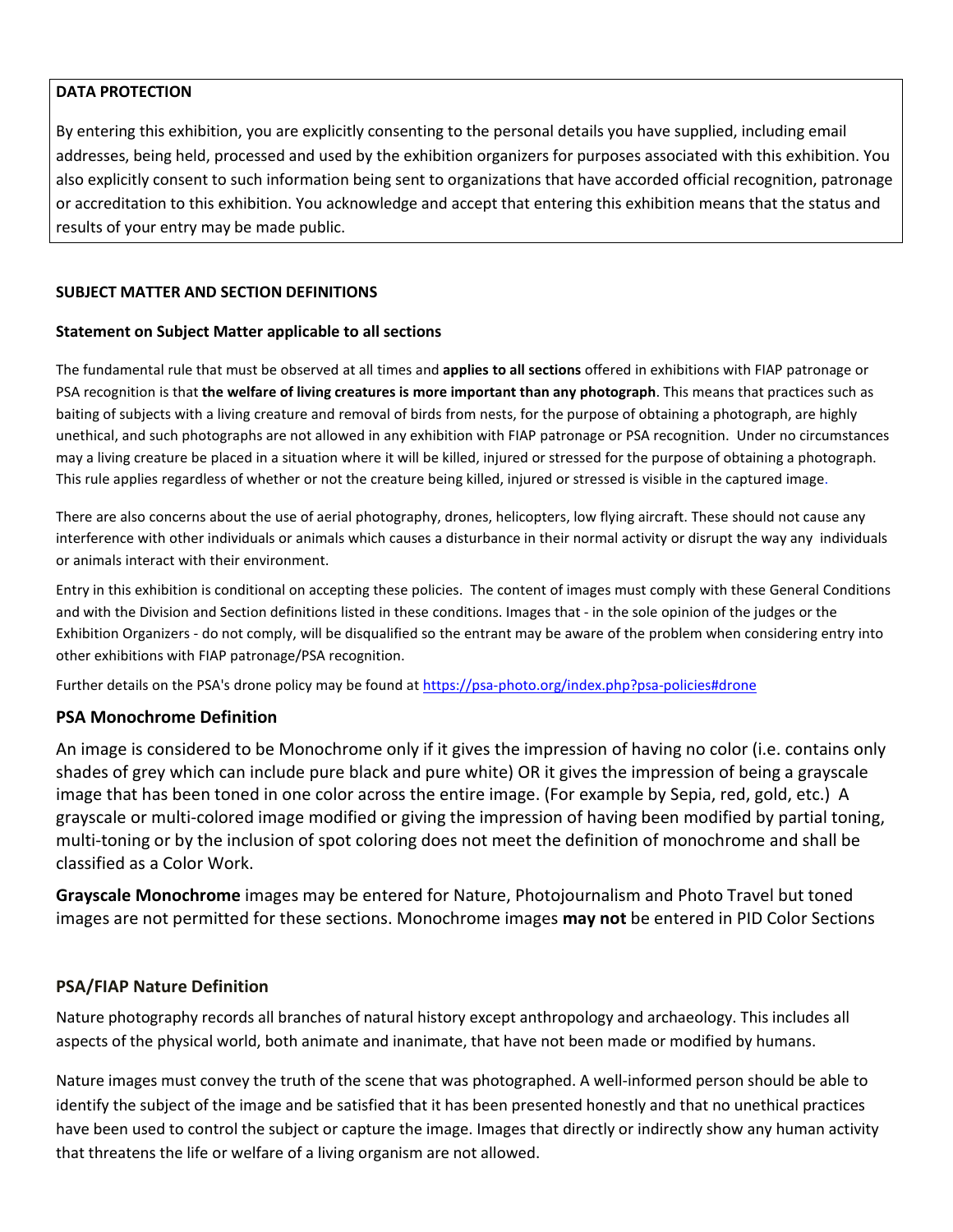## **DATA PROTECTION**

By entering this exhibition, you are explicitly consenting to the personal details you have supplied, including email addresses, being held, processed and used by the exhibition organizers for purposes associated with this exhibition. You also explicitly consent to such information being sent to organizations that have accorded official recognition, patronage or accreditation to this exhibition. You acknowledge and accept that entering this exhibition means that the status and results of your entry may be made public.

## **SUBJECT MATTER AND SECTION DEFINITIONS**

### **Statement on Subject Matter applicable to all sections**

The fundamental rule that must be observed at all times and **applies to all sections** offered in exhibitions with FIAP patronage or PSA recognition is that **the welfare of living creatures is more important than any photograph**. This means that practices such as baiting of subjects with a living creature and removal of birds from nests, for the purpose of obtaining a photograph, are highly unethical, and such photographs are not allowed in any exhibition with FIAP patronage or PSA recognition. Under no circumstances may a living creature be placed in a situation where it will be killed, injured or stressed for the purpose of obtaining a photograph. This rule applies regardless of whether or not the creature being killed, injured or stressed is visible in the captured image.

There are also concerns about the use of aerial photography, drones, helicopters, low flying aircraft. These should not cause any interference with other individuals or animals which causes a disturbance in their normal activity or disrupt the way any individuals or animals interact with their environment.

Entry in this exhibition is conditional on accepting these policies. The content of images must comply with these General Conditions and with the Division and Section definitions listed in these conditions. Images that - in the sole opinion of the judges or the Exhibition Organizers - do not comply, will be disqualified so the entrant may be aware of the problem when considering entry into other exhibitions with FIAP patronage/PSA recognition.

Further details on the PSA's drone policy may be found at [https://psa-photo.org/index.php?psa-policies#drone](https://psa-photo.org/index.php?psa-policies%23drone)

### **PSA Monochrome Definition**

An image is considered to be Monochrome only if it gives the impression of having no color (i.e. contains only shades of grey which can include pure black and pure white) OR it gives the impression of being a grayscale image that has been toned in one color across the entire image. (For example by Sepia, red, gold, etc.) A grayscale or multi-colored image modified or giving the impression of having been modified by partial toning, multi-toning or by the inclusion of spot coloring does not meet the definition of monochrome and shall be classified as a Color Work.

**Grayscale Monochrome** images may be entered for Nature, Photojournalism and Photo Travel but toned images are not permitted for these sections. Monochrome images **may not** be entered in PID Color Sections

### **PSA/FIAP Nature Definition**

Nature photography records all branches of natural history except anthropology and archaeology. This includes all aspects of the physical world, both animate and inanimate, that have not been made or modified by humans.

Nature images must convey the truth of the scene that was photographed. A well-informed person should be able to identify the subject of the image and be satisfied that it has been presented honestly and that no unethical practices have been used to control the subject or capture the image. Images that directly or indirectly show any human activity that threatens the life or welfare of a living organism are not allowed.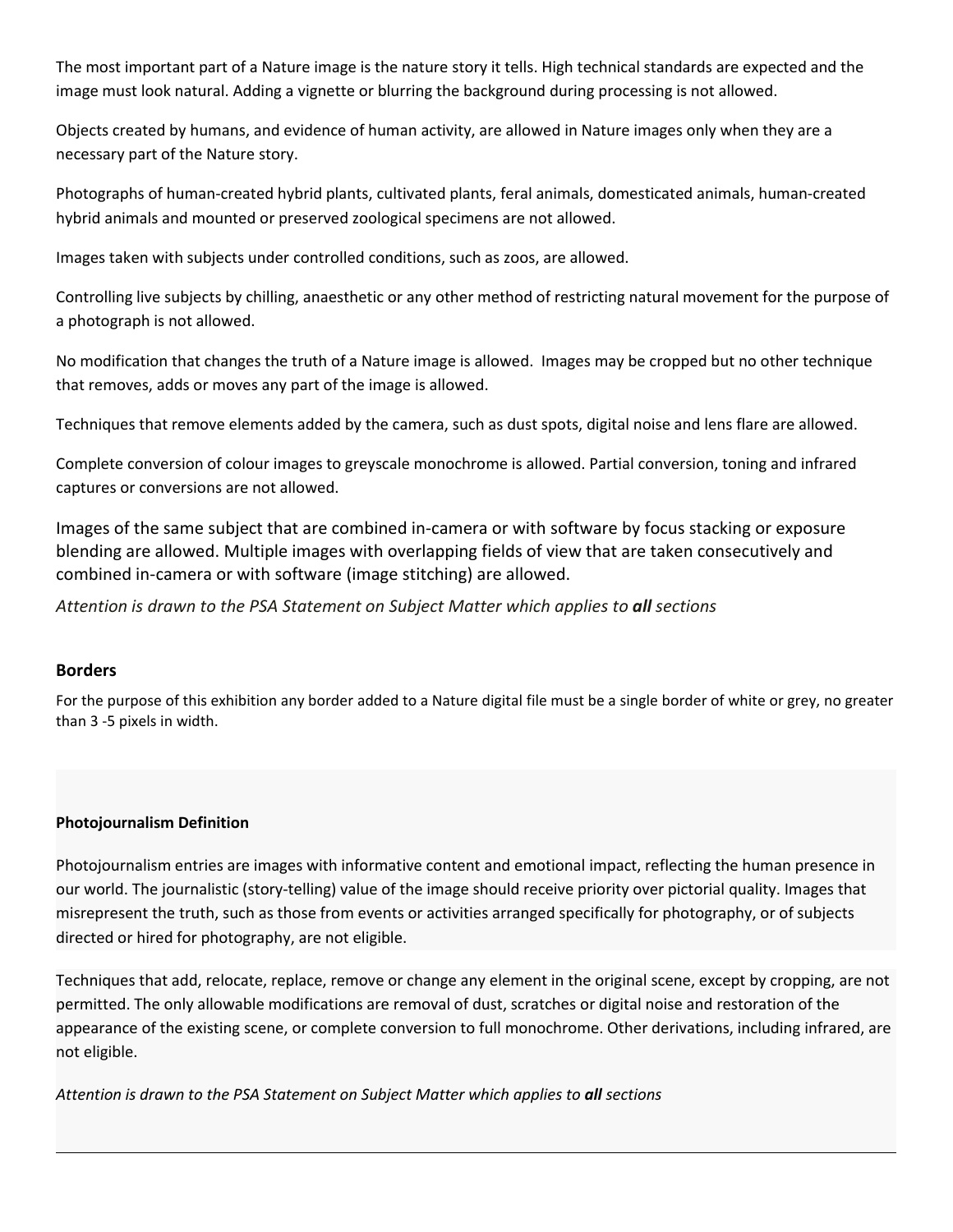The most important part of a Nature image is the nature story it tells. High technical standards are expected and the image must look natural. Adding a vignette or blurring the background during processing is not allowed.

Objects created by humans, and evidence of human activity, are allowed in Nature images only when they are a necessary part of the Nature story.

Photographs of human-created hybrid plants, cultivated plants, feral animals, domesticated animals, human-created hybrid animals and mounted or preserved zoological specimens are not allowed.

Images taken with subjects under controlled conditions, such as zoos, are allowed.

Controlling live subjects by chilling, anaesthetic or any other method of restricting natural movement for the purpose of a photograph is not allowed.

No modification that changes the truth of a Nature image is allowed. Images may be cropped but no other technique that removes, adds or moves any part of the image is allowed.

Techniques that remove elements added by the camera, such as dust spots, digital noise and lens flare are allowed.

Complete conversion of colour images to greyscale monochrome is allowed. Partial conversion, toning and infrared captures or conversions are not allowed.

Images of the same subject that are combined in-camera or with software by focus stacking or exposure blending are allowed. Multiple images with overlapping fields of view that are taken consecutively and combined in-camera or with software (image stitching) are allowed.

*Attention is drawn to the PSA Statement on Subject Matter which applies to all sections*

## **Borders**

For the purpose of this exhibition any border added to a Nature digital file must be a single border of white or grey, no greater than 3 -5 pixels in width.

### **Photojournalism Definition**

Photojournalism entries are images with informative content and emotional impact, reflecting the human presence in our world. The journalistic (story-telling) value of the image should receive priority over pictorial quality. Images that misrepresent the truth, such as those from events or activities arranged specifically for photography, or of subjects directed or hired for photography, are not eligible.

Techniques that add, relocate, replace, remove or change any element in the original scene, except by cropping, are not permitted. The only allowable modifications are removal of dust, scratches or digital noise and restoration of the appearance of the existing scene, or complete conversion to full monochrome. Other derivations, including infrared, are not eligible.

*Attention is drawn to the PSA Statement on Subject Matter which applies to all sections*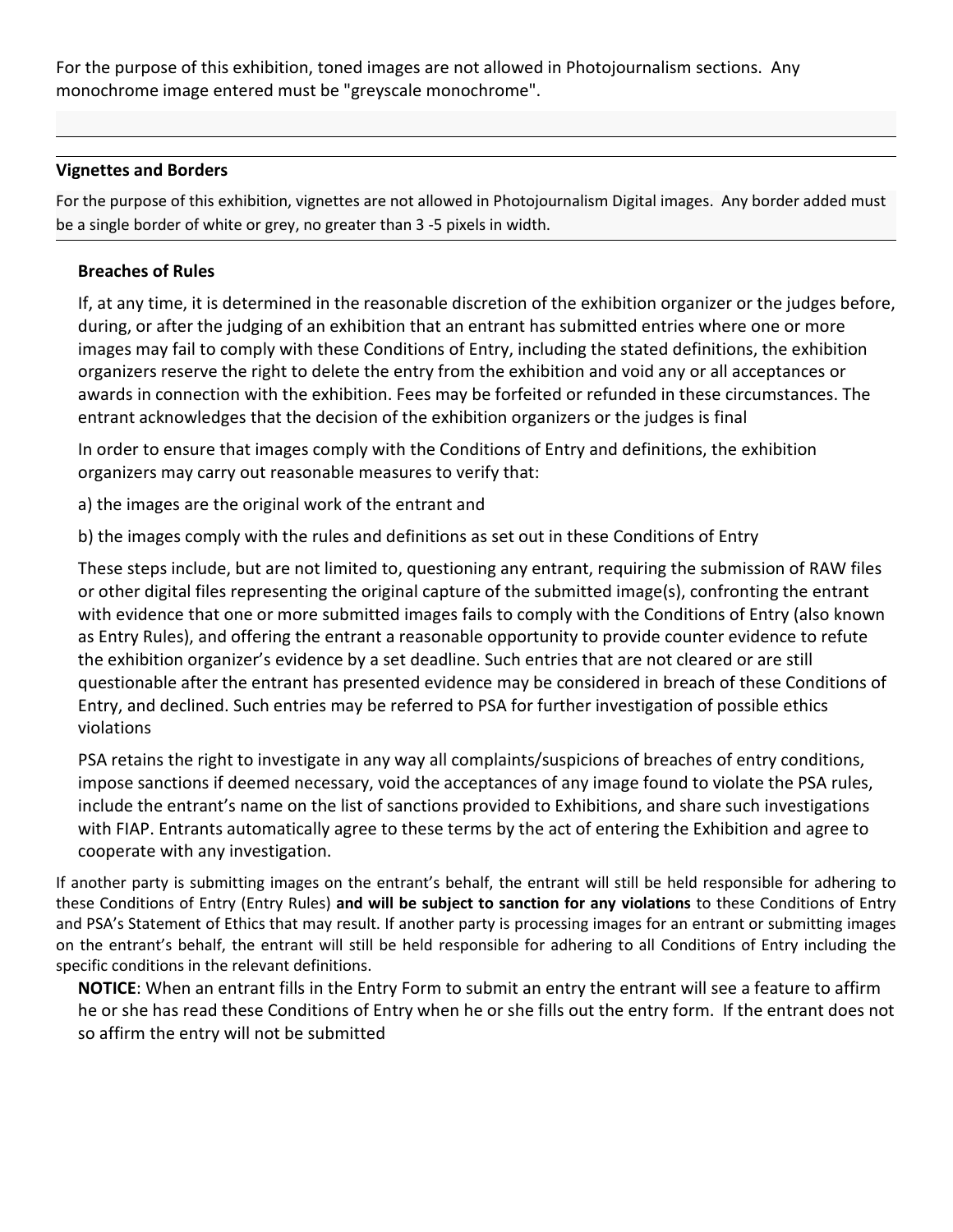For the purpose of this exhibition, toned images are not allowed in Photojournalism sections. Any monochrome image entered must be "greyscale monochrome".

## **Vignettes and Borders**

For the purpose of this exhibition, vignettes are not allowed in Photojournalism Digital images. Any border added must be a single border of white or grey, no greater than 3 -5 pixels in width.

## **Breaches of Rules**

If, at any time, it is determined in the reasonable discretion of the exhibition organizer or the judges before, during, or after the judging of an exhibition that an entrant has submitted entries where one or more images may fail to comply with these Conditions of Entry, including the stated definitions, the exhibition organizers reserve the right to delete the entry from the exhibition and void any or all acceptances or awards in connection with the exhibition. Fees may be forfeited or refunded in these circumstances. The entrant acknowledges that the decision of the exhibition organizers or the judges is final

In order to ensure that images comply with the Conditions of Entry and definitions, the exhibition organizers may carry out reasonable measures to verify that:

a) the images are the original work of the entrant and

b) the images comply with the rules and definitions as set out in these Conditions of Entry

These steps include, but are not limited to, questioning any entrant, requiring the submission of RAW files or other digital files representing the original capture of the submitted image(s), confronting the entrant with evidence that one or more submitted images fails to comply with the Conditions of Entry (also known as Entry Rules), and offering the entrant a reasonable opportunity to provide counter evidence to refute the exhibition organizer's evidence by a set deadline. Such entries that are not cleared or are still questionable after the entrant has presented evidence may be considered in breach of these Conditions of Entry, and declined. Such entries may be referred to PSA for further investigation of possible ethics violations

PSA retains the right to investigate in any way all complaints/suspicions of breaches of entry conditions, impose sanctions if deemed necessary, void the acceptances of any image found to violate the PSA rules, include the entrant's name on the list of sanctions provided to Exhibitions, and share such investigations with FIAP. Entrants automatically agree to these terms by the act of entering the Exhibition and agree to cooperate with any investigation.

If another party is submitting images on the entrant's behalf, the entrant willstill be held responsible for adhering to these Conditions of Entry (Entry Rules) **and will be subject to sanction for any violations** to these Conditions of Entry and PSA's Statement of Ethics that may result. If another party is processing images for an entrant or submitting images on the entrant's behalf, the entrant will still be held responsible for adhering to all Conditions of Entry including the specific conditions in the relevant definitions.

**NOTICE**: When an entrant fills in the Entry Form to submit an entry the entrant will see a feature to affirm he or she has read these Conditions of Entry when he or she fills out the entry form. If the entrant does not so affirm the entry will not be submitted